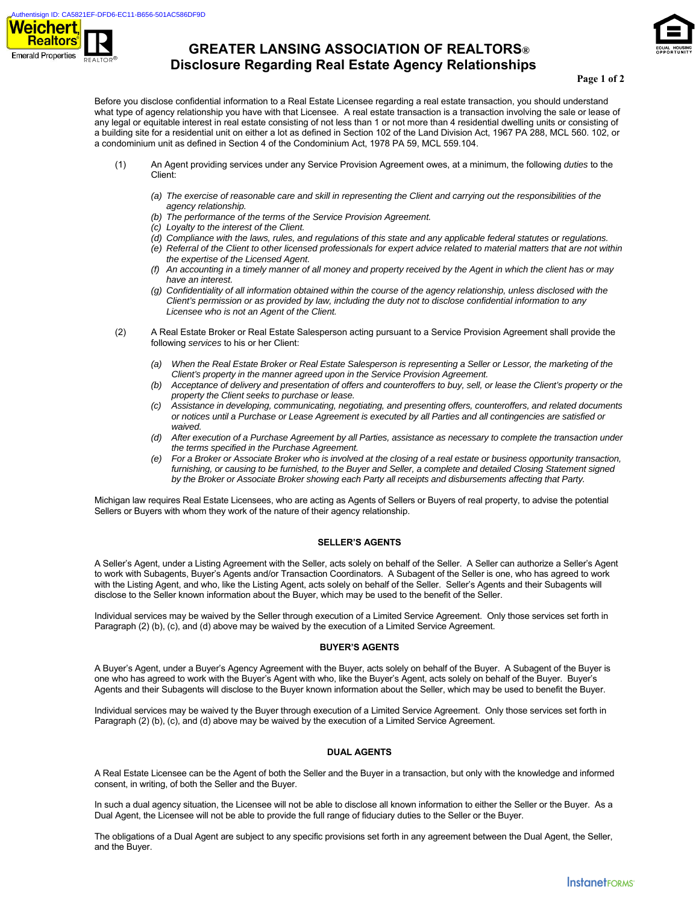

# **GREATER LANSING ASSOCIATION OF REALTORS® Disclosure Regarding Real Estate Agency Relationships**



#### **Page 1 of 2**

Before you disclose confidential information to a Real Estate Licensee regarding a real estate transaction, you should understand what type of agency relationship you have with that Licensee. A real estate transaction is a transaction involving the sale or lease of any legal or equitable interest in real estate consisting of not less than 1 or not more than 4 residential dwelling units or consisting of a building site for a residential unit on either a lot as defined in Section 102 of the Land Division Act, 1967 PA 288, MCL 560. 102, or a condominium unit as defined in Section 4 of the Condominium Act, 1978 PA 59, MCL 559.104.

- (1) An Agent providing services under any Service Provision Agreement owes, at a minimum, the following *duties* to the Client:
	- *(a) The exercise of reasonable care and skill in representing the Client and carrying out the responsibilities of the agency relationship.*
	- *(b) The performance of the terms of the Service Provision Agreement.*
	- *(c) Loyalty to the interest of the Client.*
	- *(d) Compliance with the laws, rules, and regulations of this state and any applicable federal statutes or regulations.*
	- *(e) Referral of the Client to other licensed professionals for expert advice related to material matters that are not within the expertise of the Licensed Agent.*
	- *(f) An accounting in a timely manner of all money and property received by the Agent in which the client has or may have an interest.*
	- *(g) Confidentiality of all information obtained within the course of the agency relationship, unless disclosed with the Client's permission or as provided by law, including the duty not to disclose confidential information to any Licensee who is not an Agent of the Client.*
- (2) A Real Estate Broker or Real Estate Salesperson acting pursuant to a Service Provision Agreement shall provide the following *services* to his or her Client:
	- *(a) When the Real Estate Broker or Real Estate Salesperson is representing a Seller or Lessor, the marketing of the Client's property in the manner agreed upon in the Service Provision Agreement.*
	- *(b) Acceptance of delivery and presentation of offers and counteroffers to buy, sell, or lease the Client's property or the property the Client seeks to purchase or lease.*
	- *(c) Assistance in developing, communicating, negotiating, and presenting offers, counteroffers, and related documents or notices until a Purchase or Lease Agreement is executed by all Parties and all contingencies are satisfied or waived.*
	- *(d) After execution of a Purchase Agreement by all Parties, assistance as necessary to complete the transaction under the terms specified in the Purchase Agreement.*
	- *(e) For a Broker or Associate Broker who is involved at the closing of a real estate or business opportunity transaction,*  furnishing, or causing to be furnished, to the Buyer and Seller, a complete and detailed Closing Statement signed *by the Broker or Associate Broker showing each Party all receipts and disbursements affecting that Party.*

Michigan law requires Real Estate Licensees, who are acting as Agents of Sellers or Buyers of real property, to advise the potential Sellers or Buyers with whom they work of the nature of their agency relationship.

#### **SELLER'S AGENTS**

A Seller's Agent, under a Listing Agreement with the Seller, acts solely on behalf of the Seller. A Seller can authorize a Seller's Agent to work with Subagents, Buyer's Agents and/or Transaction Coordinators. A Subagent of the Seller is one, who has agreed to work with the Listing Agent, and who, like the Listing Agent, acts solely on behalf of the Seller. Seller's Agents and their Subagents will disclose to the Seller known information about the Buyer, which may be used to the benefit of the Seller.

Individual services may be waived by the Seller through execution of a Limited Service Agreement. Only those services set forth in Paragraph (2) (b), (c), and (d) above may be waived by the execution of a Limited Service Agreement.

#### **BUYER'S AGENTS**

A Buyer's Agent, under a Buyer's Agency Agreement with the Buyer, acts solely on behalf of the Buyer. A Subagent of the Buyer is one who has agreed to work with the Buyer's Agent with who, like the Buyer's Agent, acts solely on behalf of the Buyer. Buyer's Agents and their Subagents will disclose to the Buyer known information about the Seller, which may be used to benefit the Buyer.

Individual services may be waived ty the Buyer through execution of a Limited Service Agreement. Only those services set forth in Paragraph (2) (b), (c), and (d) above may be waived by the execution of a Limited Service Agreement.

### **DUAL AGENTS**

A Real Estate Licensee can be the Agent of both the Seller and the Buyer in a transaction, but only with the knowledge and informed consent, in writing, of both the Seller and the Buyer.

In such a dual agency situation, the Licensee will not be able to disclose all known information to either the Seller or the Buyer. As a Dual Agent, the Licensee will not be able to provide the full range of fiduciary duties to the Seller or the Buyer.

The obligations of a Dual Agent are subject to any specific provisions set forth in any agreement between the Dual Agent, the Seller, and the Buyer.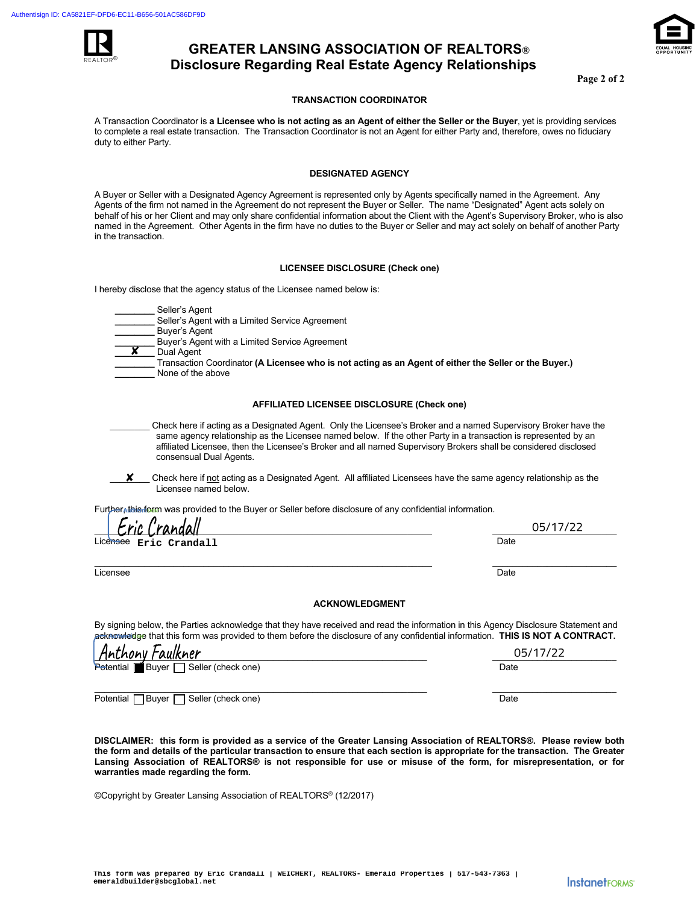

# **GREATER LANSING ASSOCIATION OF REALTORS® Disclosure Regarding Real Estate Agency Relationships**

**Page 2 of 2** 

## **TRANSACTION COORDINATOR**

A Transaction Coordinator is **a Licensee who is not acting as an Agent of either the Seller or the Buyer**, yet is providing services to complete a real estate transaction. The Transaction Coordinator is not an Agent for either Party and, therefore, owes no fiduciary duty to either Party.

### **DESIGNATED AGENCY**

A Buyer or Seller with a Designated Agency Agreement is represented only by Agents specifically named in the Agreement. Any Agents of the firm not named in the Agreement do not represent the Buyer or Seller. The name "Designated" Agent acts solely on behalf of his or her Client and may only share confidential information about the Client with the Agent's Supervisory Broker, who is also named in the Agreement. Other Agents in the firm have no duties to the Buyer or Seller and may act solely on behalf of another Party in the transaction.

#### **LICENSEE DISCLOSURE (Check one)**

I hereby disclose that the agency status of the Licensee named below is:

 **\_\_\_\_\_\_\_\_** Seller's Agent

Seller's Agent with a Limited Service Agreement

- **\_\_\_\_\_\_\_\_** Buyer's Agent
- Buyer's Agent with a Limited Service Agreement
- **\_\_\_\_\_\_\_\_** Dual Agent ✘
- **\_\_\_\_\_\_\_\_** Transaction Coordinator **(A Licensee who is not acting as an Agent of either the Seller or the Buyer.)**  None of the above

#### **AFFILIATED LICENSEE DISCLOSURE (Check one)**

- \_\_\_\_\_\_\_\_ Check here if acting as a Designated Agent. Only the Licensee's Broker and a named Supervisory Broker have the same agency relationship as the Licensee named below. If the other Party in a transaction is represented by an affiliated Licensee, then the Licensee's Broker and all named Supervisory Brokers shall be considered disclosed consensual Dual Agents.
- Check here if not acting as a Designated Agent. All affiliated Licensees have the same agency relationship as the Licensee named below. ✘

Further, this form was provided to the Buyer or Seller before disclosure of any confidential information.

| Eric Crandall          | 05/17/22 |  |
|------------------------|----------|--|
| Licensee Eric Crandall | Date     |  |
|                        |          |  |

Licensee Date Date is a state of the control of the control of the control of the control of the control of the

## **ACKNOWLEDGMENT**

By signing below, the Parties acknowledge that they have received and read the information in this Agency Disclosure Statement and acknowledge that this form was provided to them before the disclosure of any confidential information. THIS IS NOT A CONTRACT.

| Anthony Faulkner                                                    | 05/17/22 |
|---------------------------------------------------------------------|----------|
| Potential<br>$\blacksquare$ Buyer $\blacksquare$ Seller (check one) | Date     |
|                                                                     |          |
| ∃Buyer<br>Seller (check one)<br>Potential I                         | Date     |

**DISCLAIMER: this form is provided as a service of the Greater Lansing Association of REALTORS®. Please review both the form and details of the particular transaction to ensure that each section is appropriate for the transaction. The Greater Lansing Association of REALTORS® is not responsible for use or misuse of the form, for misrepresentation, or for warranties made regarding the form.**

©Copyright by Greater Lansing Association of REALTORS® (12/2017)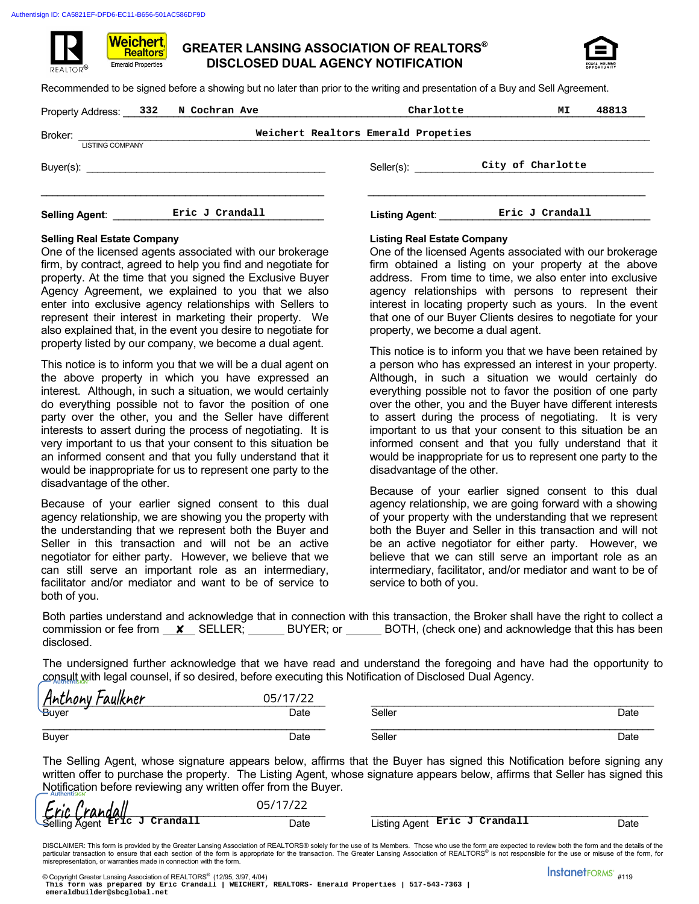Weichert. **Realtors Emerald Properties** 



Recommended to be signed before a showing but no later than prior to the writing and presentation of a Buy and Sell Agreement.

| Property Address: 332             | N Cochran Ave   |                                     |                       | Charlotte | МI                | 48813 |
|-----------------------------------|-----------------|-------------------------------------|-----------------------|-----------|-------------------|-------|
| Broker:<br><b>LISTING COMPANY</b> |                 | Weichert Realtors Emerald Propeties |                       |           |                   |       |
|                                   |                 |                                     | Seller(s):            |           | City of Charlotte |       |
| <b>Selling Agent:</b>             | Eric J Crandall |                                     | <b>Listing Agent:</b> |           | Eric J Crandall   |       |

# **Selling Real Estate Company Listing Real Estate Company**

One of the licensed agents associated with our brokerage firm, by contract, agreed to help you find and negotiate for property. At the time that you signed the Exclusive Buyer Agency Agreement, we explained to you that we also enter into exclusive agency relationships with Sellers to represent their interest in marketing their property. We also explained that, in the event you desire to negotiate for property listed by our company, we become a dual agent.

This notice is to inform you that we will be a dual agent on the above property in which you have expressed an interest. Although, in such a situation, we would certainly do everything possible not to favor the position of one party over the other, you and the Seller have different interests to assert during the process of negotiating. It is very important to us that your consent to this situation be an informed consent and that you fully understand that it would be inappropriate for us to represent one party to the disadvantage of the other. Selloric): <br> **Eric J Crandall Lesting Agent**<br> **Existing Agent**<br> **Existing Agent**<br> **Existing Agent**<br> **Existing Agent**<br> **Existing Real Estate Company** associated with<br>
circle agents associated with our brokenage<br> **Eric J C** 

Because of your earlier signed consent to this dual agency relationship, we are showing you the property with the understanding that we represent both the Buyer and Seller in this transaction and will not be an active negotiator for either party. However, we believe that we can still serve an important role as an intermediary, facilitator and/or mediator and want to be of service to both of you.

One of the licensed Agents associated with our brokerage firm obtained a listing on your property at the above address. From time to time, we also enter into exclusive agency relationships with persons to represent their interest in locating property such as yours. In the event that one of our Buyer Clients desires to negotiate for your property, we become a dual agent.

This notice is to inform you that we have been retained by a person who has expressed an interest in your property. Although, in such a situation we would certainly do everything possible not to favor the position of one party over the other, you and the Buyer have different interests to assert during the process of negotiating. It is very important to us that your consent to this situation be an informed consent and that you fully understand that it would be inappropriate for us to represent one party to the disadvantage of the other.

Because of your earlier signed consent to this dual agency relationship, we are going forward with a showing of your property with the understanding that we represent both the Buyer and Seller in this transaction and will not be an active negotiator for either party. However, we believe that we can still serve an important role as an intermediary, facilitator, and/or mediator and want to be of service to both of you.

Both parties understand and acknowledge that in connection with this transaction, the Broker shall have the right to collect a commission or fee from  $\boldsymbol{\mathsf{x}}$  SELLER; BUYER; or BOTH, (check one) and acknowledge that this has been disclosed.

The undersigned further acknowledge that we have read and understand the foregoing and have had the opportunity to consult with legal counsel, if so desired, before executing this Notification of Disclosed Dual Agency.

| -<br><u> Anthony Faulkner</u> | 05/17/22<br>ے ۔ |        |      |
|-------------------------------|-----------------|--------|------|
| <b>Buyer</b>                  | Date            | Seller | Date |
| <b>Buyer</b>                  | Date            | Seller | Date |

The Selling Agent, whose signature appears below, affirms that the Buyer has signed this Notification before signing any written offer to purchase the property. The Listing Agent, whose signature appears below, affirms that Seller has signed this Notification before reviewing any written offer from the Buyer.

| Eric Crandall                 | $05/17/2^-$ |                               |      |
|-------------------------------|-------------|-------------------------------|------|
| Selling Agent Eric J Crandall | Date        | Listing Agent Eric J Crandall | Date |

DISCLAIMER: This form is provided by the Greater Lansing Association of REALTORS® solely for the use of its Members. Those who use the form are expected to review both the form and the details of the<br>particular transaction misrepresentation, or warranties made in connection with the form.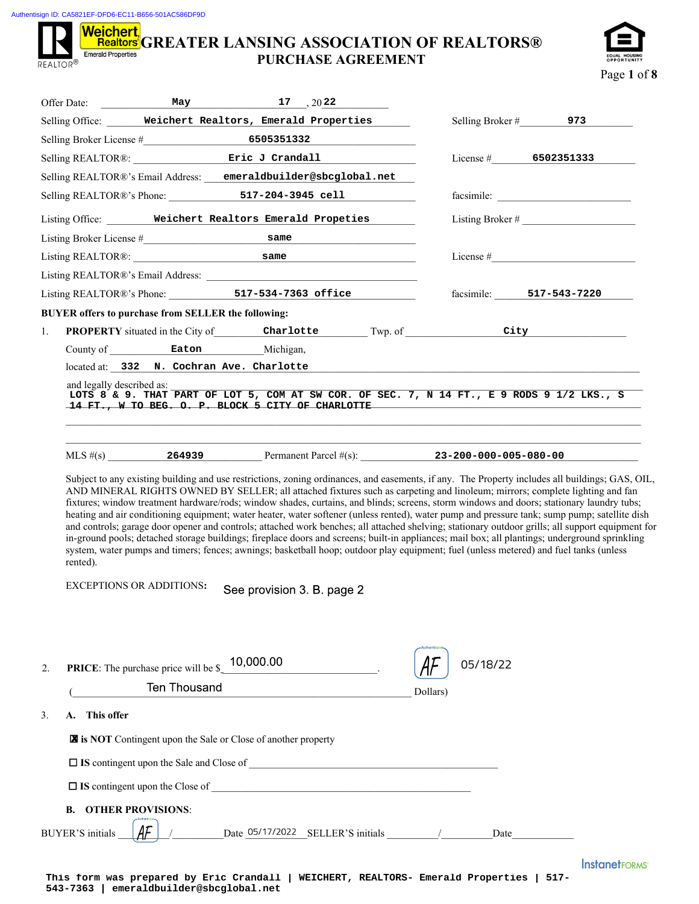Authentisign ID: CA5821EF-DFD6-EC11-B656-501AC586DF9D

## **Weichert,**<br>Realtors GREATER LANSING ASSOCIATION OF REALTORS® **Emerald Properties PURCHASE AGREEMENT**  REALTOR<sup>®</sup>



| Selling Office: Weichert Realtors, Emerald Properties<br>Selling REALTOR®: Eric J Crandall<br>Selling REALTOR®'s Email Address: emeraldbuilder@sbcglobal.net<br>Selling REALTOR®'s Phone: 517-204-3945 cell<br>Listing Office: Weichert Realtors Emerald Propeties<br>Listing REALTOR®: same same<br>Listing REALTOR®'s Phone: 517-534-7363 office<br>BUYER offers to purchase from SELLER the following:<br><b>PROPERTY</b> situated in the City of Charlotte Twp. of City<br>1.<br>County of Eaton Michigan,<br>located at: 332 N. Cochran Ave. Charlotte<br>and legally described as:<br>LOTS 8 & 9. THAT PART OF LOT 5, COM AT SW COR. OF SEC. 7, N 14 FT., E 9 RODS 9 1/2 LKS., S | Selling Broker $\#$ 973<br>License # $6502351333$<br>Listing Broker # $\frac{1}{2}$<br>facsimile: 517-543-7220 |
|----------------------------------------------------------------------------------------------------------------------------------------------------------------------------------------------------------------------------------------------------------------------------------------------------------------------------------------------------------------------------------------------------------------------------------------------------------------------------------------------------------------------------------------------------------------------------------------------------------------------------------------------------------------------------------------|----------------------------------------------------------------------------------------------------------------|
|                                                                                                                                                                                                                                                                                                                                                                                                                                                                                                                                                                                                                                                                                        |                                                                                                                |
|                                                                                                                                                                                                                                                                                                                                                                                                                                                                                                                                                                                                                                                                                        |                                                                                                                |
|                                                                                                                                                                                                                                                                                                                                                                                                                                                                                                                                                                                                                                                                                        |                                                                                                                |
|                                                                                                                                                                                                                                                                                                                                                                                                                                                                                                                                                                                                                                                                                        |                                                                                                                |
|                                                                                                                                                                                                                                                                                                                                                                                                                                                                                                                                                                                                                                                                                        |                                                                                                                |
|                                                                                                                                                                                                                                                                                                                                                                                                                                                                                                                                                                                                                                                                                        |                                                                                                                |
|                                                                                                                                                                                                                                                                                                                                                                                                                                                                                                                                                                                                                                                                                        |                                                                                                                |
|                                                                                                                                                                                                                                                                                                                                                                                                                                                                                                                                                                                                                                                                                        |                                                                                                                |
|                                                                                                                                                                                                                                                                                                                                                                                                                                                                                                                                                                                                                                                                                        |                                                                                                                |
|                                                                                                                                                                                                                                                                                                                                                                                                                                                                                                                                                                                                                                                                                        |                                                                                                                |
|                                                                                                                                                                                                                                                                                                                                                                                                                                                                                                                                                                                                                                                                                        |                                                                                                                |
|                                                                                                                                                                                                                                                                                                                                                                                                                                                                                                                                                                                                                                                                                        |                                                                                                                |
|                                                                                                                                                                                                                                                                                                                                                                                                                                                                                                                                                                                                                                                                                        |                                                                                                                |
|                                                                                                                                                                                                                                                                                                                                                                                                                                                                                                                                                                                                                                                                                        |                                                                                                                |
| 14 FT., W TO BEG. O. P. BLOCK 5 CITY OF CHARLOTTE                                                                                                                                                                                                                                                                                                                                                                                                                                                                                                                                                                                                                                      |                                                                                                                |
| MLS #(s) 264939 Permanent Parcel #(s): 23-200-000-005-080-00                                                                                                                                                                                                                                                                                                                                                                                                                                                                                                                                                                                                                           |                                                                                                                |
| and controls; garage door opener and controls; attached work benches; all attached shelving; stationary outdoor grills; all support equipment for<br>in-ground pools; detached storage buildings; fireplace doors and screens; built-in appliances; mail box; all plantings; underground sprinkling<br>system, water pumps and timers; fences; awnings; basketball hoop; outdoor play equipment; fuel (unless metered) and fuel tanks (unless<br>rented).<br><b>EXCEPTIONS OR ADDITIONS:</b><br>See provision 3. B. page 2                                                                                                                                                             |                                                                                                                |
|                                                                                                                                                                                                                                                                                                                                                                                                                                                                                                                                                                                                                                                                                        | 05/18/22                                                                                                       |
| <b>PRICE:</b> The purchase price will be $\frac{$10,000.00}{\sqrt{100}}$<br>2.<br>Ten Thousand<br>Dollars)                                                                                                                                                                                                                                                                                                                                                                                                                                                                                                                                                                             |                                                                                                                |
| A. This offer                                                                                                                                                                                                                                                                                                                                                                                                                                                                                                                                                                                                                                                                          |                                                                                                                |
|                                                                                                                                                                                                                                                                                                                                                                                                                                                                                                                                                                                                                                                                                        |                                                                                                                |
| is NOT Contingent upon the Sale or Close of another property                                                                                                                                                                                                                                                                                                                                                                                                                                                                                                                                                                                                                           |                                                                                                                |
|                                                                                                                                                                                                                                                                                                                                                                                                                                                                                                                                                                                                                                                                                        |                                                                                                                |
| 3.<br><b>B. OTHER PROVISIONS:</b>                                                                                                                                                                                                                                                                                                                                                                                                                                                                                                                                                                                                                                                      |                                                                                                                |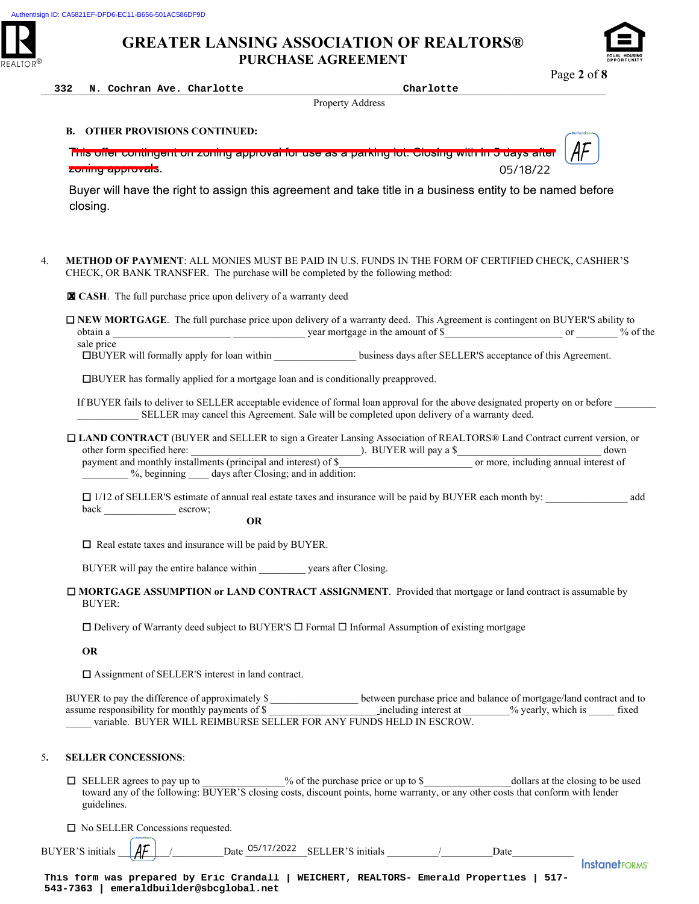

Page **2** of **8**

| 332 | Cochran Ave. Charlotte<br>N. | _____ | Charlotte<br>. |
|-----|------------------------------|-------|----------------|
|-----|------------------------------|-------|----------------|

Property Address

## **B. OTHER PROVISIONS CONTINUED:**

<u>This offer contingent on zoning approval for use as a parking fot. Closing with </u> 05/18/22 zoring approvais.

Buyer will have the right to assign this agreement and take title in a business entity to be named before closing.

4. **METHOD OF PAYMENT**: ALL MONIES MUST BE PAID IN U.S. FUNDS IN THE FORM OF CERTIFIED CHECK, CASHIER'S CHECK, OR BANK TRANSFER. The purchase will be completed by the following method:

**CASH**. The full purchase price upon delivery of a warranty deed ✘

 **NEW MORTGAGE**. The full purchase price upon delivery of a warranty deed. This Agreement is contingent on BUYER'S ability to obtain a \_\_\_\_\_\_\_\_\_\_\_\_\_\_\_\_\_\_\_\_\_\_\_ \_\_\_\_\_\_\_\_\_\_\_\_\_\_ year mortgage in the amount of \$\_\_\_\_\_\_\_\_\_\_\_\_\_\_\_\_\_\_\_\_\_\_\_ or \_\_\_\_\_\_\_\_ % of the sale price

**EDEUTER'S** acceptance of this Agreement. **IBUYER** will formally apply for loan within **business** days after SELLER'S acceptance of this Agreement.

BUYER has formally applied for a mortgage loan and is conditionally preapproved.

If BUYER fails to deliver to SELLER acceptable evidence of formal loan approval for the above designated property on or before SELLER may cancel this Agreement. Sale will be completed upon delivery of a warranty deed.

 **LAND CONTRACT** (BUYER and SELLER to sign a Greater Lansing Association of REALTORS® Land Contract current version, or other form specified here: \_\_\_\_\_\_\_\_\_\_\_\_\_\_\_\_\_\_\_\_\_\_\_\_\_\_\_\_\_\_\_\_\_). BUYER will pay a \$\_\_\_\_\_\_\_\_\_\_\_\_\_\_\_\_\_\_\_\_\_\_\_\_\_\_\_\_ down payment and monthly installments (principal and interest) of \$\_\_\_\_\_\_\_\_\_\_\_\_\_\_\_\_\_\_\_\_\_\_\_\_\_\_ or more, including annual interest of %, beginning days after Closing; and in addition:

 $\Box$  1/12 of SELLER'S estimate of annual real estate taxes and insurance will be paid by BUYER each month by: add back escrow;

**OR**

□ Real estate taxes and insurance will be paid by BUYER.

BUYER will pay the entire balance within \_\_\_\_\_\_\_\_\_ years after Closing.

 **MORTGAGE ASSUMPTION or LAND CONTRACT ASSIGNMENT**. Provided that mortgage or land contract is assumable by BUYER:

 $\Box$  Delivery of Warranty deed subject to BUYER'S  $\Box$  Formal  $\Box$  Informal Assumption of existing mortgage

**OR** 

□ Assignment of SELLER'S interest in land contract.

BUYER to pay the difference of approximately \$ between purchase price and balance of mortgage/land contract and to assume responsibility for monthly payments of \$ \_\_\_\_\_\_\_\_\_\_\_\_\_\_\_\_\_\_\_\_\_ including interest at \_\_\_\_\_\_\_\_\_% yearly, which is \_\_\_\_\_ fixed variable. BUYER WILL REIMBURSE SELLER FOR ANY FUNDS HELD IN ESCROW.

## 5**. SELLER CONCESSIONS**:

 $\Box$  SELLER agrees to pay up to  $\degree$  of the purchase price or up to \$ dollars at the closing to be used toward any of the following: BUYER'S closing costs, discount points, home warranty, or any other costs that conform with lender guidelines.

□ No SELLER Concessions requested.

BUYER'S initials  $\begin{vmatrix} \mathbf{A} \mathbf{F} \end{vmatrix}$  / Date 05/17/2022 SELLER'S initials / Date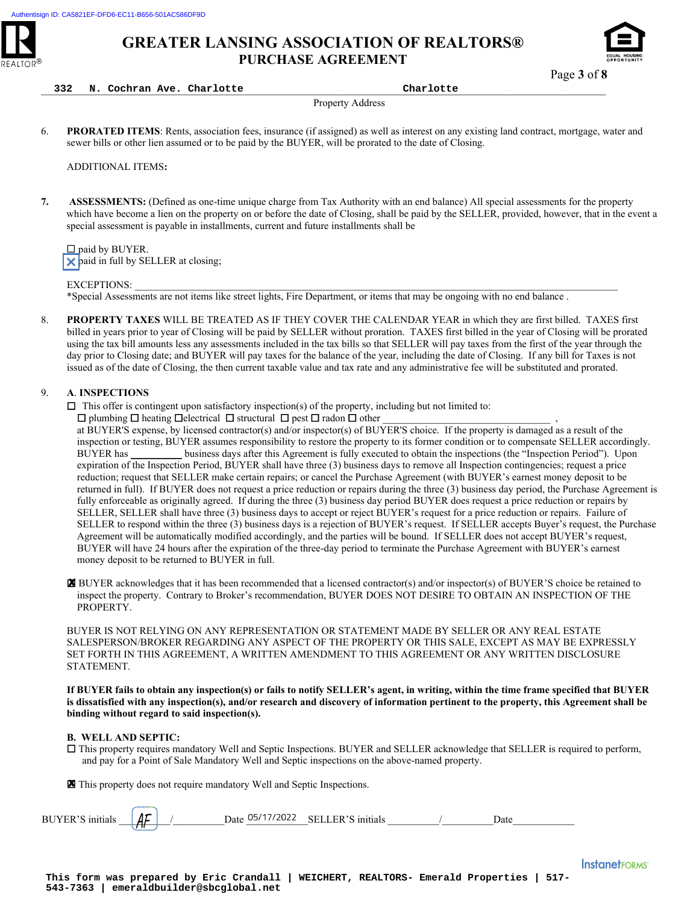



Page **3** of **8**

**332 N. Cochran Ave. Charlotte Charlotte**

Property Address

6. **PRORATED ITEMS**: Rents, association fees, insurance (if assigned) as well as interest on any existing land contract, mortgage, water and sewer bills or other lien assumed or to be paid by the BUYER, will be prorated to the date of Closing.

ADDITIONAL ITEMS**:** 

**7. ASSESSMENTS:** (Defined as one-time unique charge from Tax Authority with an end balance) All special assessments for the property which have become a lien on the property on or before the date of Closing, shall be paid by the SELLER, provided, however, that in the event a special assessment is payable in installments, current and future installments shall be

 $\square$  paid by BUYER.  $\times$  paid in full by SELLER at closing;

EXCEPTIONS:

Ī

\*Special Assessments are not items like street lights, Fire Department, or items that may be ongoing with no end balance .

8. **PROPERTY TAXES** WILL BE TREATED AS IF THEY COVER THE CALENDAR YEAR in which they are first billed. TAXES first billed in years prior to year of Closing will be paid by SELLER without proration. TAXES first billed in the year of Closing will be prorated using the tax bill amounts less any assessments included in the tax bills so that SELLER will pay taxes from the first of the year through the day prior to Closing date; and BUYER will pay taxes for the balance of the year, including the date of Closing. If any bill for Taxes is not issued as of the date of Closing, the then current taxable value and tax rate and any administrative fee will be substituted and prorated.

## 9. **A**. **INSPECTIONS**

 $\Box$  This offer is contingent upon satisfactory inspection(s) of the property, including but not limited to:

 $\Box$  plumbing  $\Box$  heating  $\Box$  electrical  $\Box$  structural  $\Box$  pest  $\Box$  radon  $\Box$  other

at BUYER'S expense, by licensed contractor(s) and/or inspector(s) of BUYER'S choice. If the property is damaged as a result of the inspection or testing, BUYER assumes responsibility to restore the property to its former condition or to compensate SELLER accordingly. BUYER has business days after this Agreement is fully executed to obtain the inspections (the "Inspection Period"). Upon expiration of the Inspection Period, BUYER shall have three (3) business days to remove all Inspection contingencies; request a price reduction; request that SELLER make certain repairs; or cancel the Purchase Agreement (with BUYER's earnest money deposit to be returned in full). If BUYER does not request a price reduction or repairs during the three (3) business day period, the Purchase Agreement is fully enforceable as originally agreed. If during the three (3) business day period BUYER does request a price reduction or repairs by SELLER, SELLER shall have three (3) business days to accept or reject BUYER's request for a price reduction or repairs. Failure of SELLER to respond within the three (3) business days is a rejection of BUYER's request. If SELLER accepts Buyer's request, the Purchase Agreement will be automatically modified accordingly, and the parties will be bound. If SELLER does not accept BUYER's request, BUYER will have 24 hours after the expiration of the three-day period to terminate the Purchase Agreement with BUYER's earnest money deposit to be returned to BUYER in full.

 BUYER acknowledges that it has been recommended that a licensed contractor(s) and/or inspector(s) of BUYER'S choice be retained to inspect the property. Contrary to Broker's recommendation, BUYER DOES NOT DESIRE TO OBTAIN AN INSPECTION OF THE PROPERTY.

BUYER IS NOT RELYING ON ANY REPRESENTATION OR STATEMENT MADE BY SELLER OR ANY REAL ESTATE SALESPERSON/BROKER REGARDING ANY ASPECT OF THE PROPERTY OR THIS SALE, EXCEPT AS MAY BE EXPRESSLY SET FORTH IN THIS AGREEMENT, A WRITTEN AMENDMENT TO THIS AGREEMENT OR ANY WRITTEN DISCLOSURE STATEMENT. **EXAMPLE SETTLE SETTLE SETTLE SETTLE SETTLE SETTLE SETTLE SUVER IS NOT RELYING ON ANY REPRESEN SALESPERSON/BROKER REGARDING ANY ASSET FORTH IN THIS AGREEMENT, A WRITTE STATEMENT.<br>
If BUYER fails to obtain any inspection(s)** 

**If BUYER fails to obtain any inspection(s) or fails to notify SELLER's agent, in writing, within the time frame specified that BUYER is dissatisfied with any inspection(s), and/or research and discovery of information pertinent to the property, this Agreement shall be binding without regard to said inspection(s).** 

### **B. WELL AND SEPTIC:**

 This property requires mandatory Well and Septic Inspections. BUYER and SELLER acknowledge that SELLER is required to perform, and pay for a Point of Sale Mandatory Well and Septic inspections on the above-named property.

X This property does not require mandatory Well and Septic Inspections.

| BUYER | ΔC<br> |  | 05/17<br>72022<br>Date | FER'S initials<br><b>SEL</b> |  | Jate |
|-------|--------|--|------------------------|------------------------------|--|------|
|-------|--------|--|------------------------|------------------------------|--|------|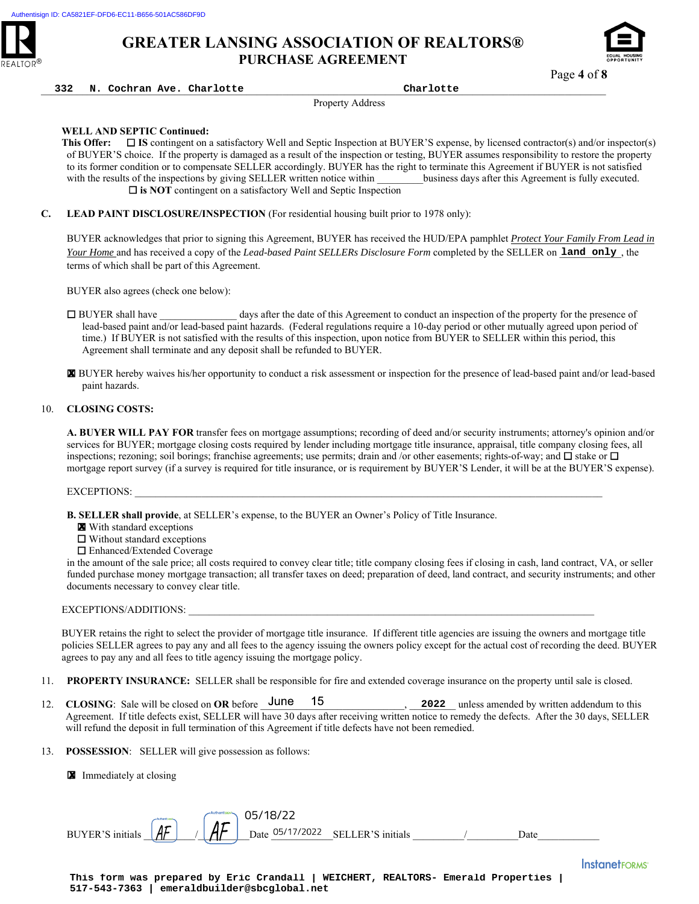



\_\_\_\_\_\_\_\_\_\_\_\_\_\_\_\_\_\_\_\_\_\_\_\_\_\_\_\_\_\_\_\_\_\_\_\_\_\_\_\_\_\_\_\_\_\_\_\_\_\_\_\_\_\_\_\_\_\_\_\_\_\_\_\_\_\_\_\_\_\_\_\_\_\_\_\_\_\_\_\_\_\_\_\_\_\_\_\_\_\_\_\_\_\_\_\_\_\_\_\_\_\_\_\_\_\_\_\_\_\_ **332 N. Cochran Ave. Charlotte Charlotte**

Property Address

## **WELL AND SEPTIC Continued:**

**This Offer:** □ IS contingent on a satisfactory Well and Septic Inspection at BUYER'S expense, by licensed contractor(s) and/or inspector(s) of BUYER'S choice. If the property is damaged as a result of the inspection or testing, BUYER assumes responsibility to restore the property to its former condition or to compensate SELLER accordingly. BUYER has the right to terminate this Agreement if BUYER is not satisfied with the results of the inspections by giving SELLER written notice within business days after this Agreement is fully executed. □ is NOT contingent on a satisfactory Well and Septic Inspection

**C. LEAD PAINT DISCLOSURE/INSPECTION** (For residential housing built prior to 1978 only):

BUYER acknowledges that prior to signing this Agreement, BUYER has received the HUD/EPA pamphlet *Protect Your Family From Lead in Your Home* and has received a copy of the *Lead-based Paint SELLERs Disclosure Form* completed by the SELLER on land only, the terms of which shall be part of this Agreement.

BUYER also agrees (check one below):

 BUYER shall have \_\_\_\_\_\_\_\_\_\_\_\_\_\_\_ days after the date of this Agreement to conduct an inspection of the property for the presence of lead-based paint and/or lead-based paint hazards. (Federal regulations require a 10-day period or other mutually agreed upon period of time.) If BUYER is not satisfied with the results of this inspection, upon notice from BUYER to SELLER within this period, this Agreement shall terminate and any deposit shall be refunded to BUYER.

 BUYER hereby waives his/her opportunity to conduct a risk assessment or inspection for the presence of lead-based paint and/or lead-based paint hazards.

## 10. **CLOSING COSTS:**

**A. BUYER WILL PAY FOR** transfer fees on mortgage assumptions; recording of deed and/or security instruments; attorney's opinion and/or services for BUYER; mortgage closing costs required by lender including mortgage title insurance, appraisal, title company closing fees, all inspections; rezoning; soil borings; franchise agreements; use permits; drain and /or other easements; rights-of-way; and  $\Box$  stake or  $\Box$ mortgage report survey (if a survey is required for title insurance, or is requirement by BUYER'S Lender, it will be at the BUYER'S expense). **EXECRET ENDERGY IN the USE CONSULTER CONSULTER Distorter Form completed by the SELLER consults and the SELER CONSULTER SHOWS (WELF AND THE SELECT CONSULTER SHOWS (WELF AND THE SELECT CONSULTER SHOWS (WELF AND THE SELECT C** 

EXCEPTIONS:

- **B. SELLER shall provide**, at SELLER's expense, to the BUYER an Owner's Policy of Title Insurance.
	- **X** With standard exceptions
	- Without standard exceptions
	- Enhanced/Extended Coverage

in the amount of the sale price; all costs required to convey clear title; title company closing fees if closing in cash, land contract, VA, or seller funded purchase money mortgage transaction; all transfer taxes on deed; preparation of deed, land contract, and security instruments; and other documents necessary to convey clear title.

### EXCEPTIONS/ADDITIONS:

BUYER retains the right to select the provider of mortgage title insurance. If different title agencies are issuing the owners and mortgage title policies SELLER agrees to pay any and all fees to the agency issuing the owners policy except for the actual cost of recording the deed. BUYER agrees to pay any and all fees to title agency issuing the mortgage policy.

- 11. **PROPERTY INSURANCE:** SELLER shall be responsible for fire and extended coverage insurance on the property until sale is closed.
- 12. **CLOSING**: Sale will be closed on **OR** before  $\frac{1}{2}$  une 15 Agreement. If title defects exist, SELLER will have 30 days after receiving written notice to remedy the defects. After the 30 days, SELLER will refund the deposit in full termination of this Agreement if title defects have not been remedied. **2022** unless amended by written addendum to this
- 13. **POSSESSION**: SELLER will give possession as follows:

**X** Immediately at closing

BUYER'S initials  $\|AF\| \leq \|AF\|$  Date  $\frac{05}{17/2022}$  SELLER'S initials  $\|$ 

**This form was prepared by Eric Crandall | WEICHERT, REALTORS- Emerald Properties |**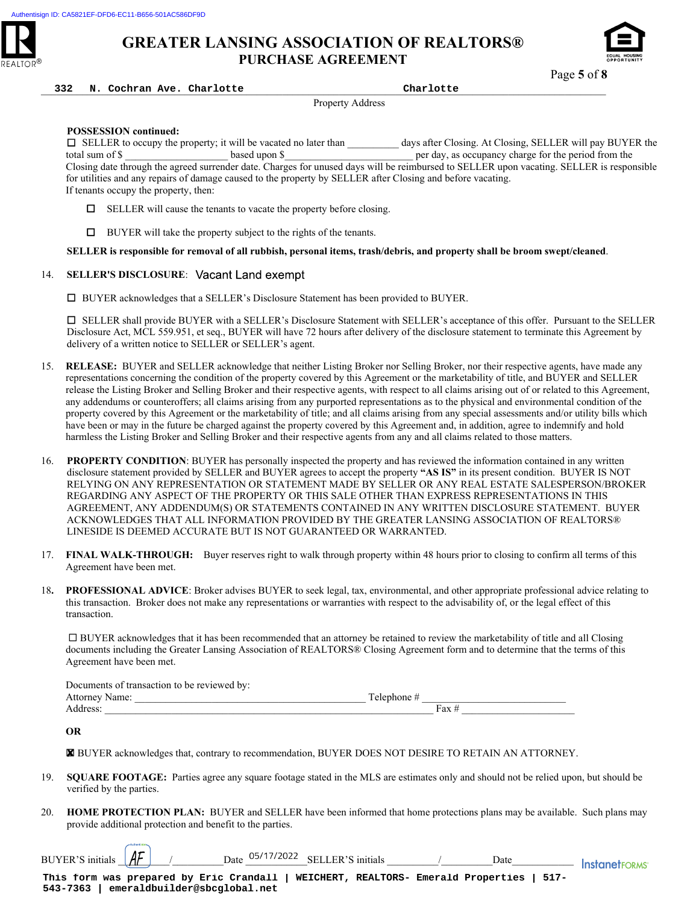



Page **5** of **8**

\_\_\_\_\_\_\_\_\_\_\_\_\_\_\_\_\_\_\_\_\_\_\_\_\_\_\_\_\_\_\_\_\_\_\_\_\_\_\_\_\_\_\_\_\_\_\_\_\_\_\_\_\_\_\_\_\_\_\_\_\_\_\_\_\_\_\_\_\_\_\_\_\_\_\_\_\_\_\_\_\_\_\_\_\_\_\_\_\_\_\_\_\_\_\_\_\_\_\_\_\_\_\_\_\_\_\_\_\_\_ **332 N. Cochran Ave. Charlotte Charlotte**

Property Address

## **POSSESSION continued:**

 SELLER to occupy the property; it will be vacated no later than \_\_\_\_\_\_\_\_\_\_ days after Closing. At Closing, SELLER will pay BUYER the total sum of \$ Closing date through the agreed surrender date. Charges for unused days will be reimbursed to SELLER upon vacating. SELLER is responsible for utilities and any repairs of damage caused to the property by SELLER after Closing and before vacating. If tenants occupy the property, then:

- $\Box$  SELLER will cause the tenants to vacate the property before closing.
- $\Box$  BUYER will take the property subject to the rights of the tenants.

**SELLER is responsible for removal of all rubbish, personal items, trash/debris, and property shall be broom swept/cleaned**.

## 14. **SELLER'S DISCLOSURE**:

BUYER acknowledges that a SELLER's Disclosure Statement has been provided to BUYER.

 SELLER shall provide BUYER with a SELLER's Disclosure Statement with SELLER's acceptance of this offer. Pursuant to the SELLER Disclosure Act, MCL 559.951, et seq., BUYER will have 72 hours after delivery of the disclosure statement to terminate this Agreement by delivery of a written notice to SELLER or SELLER's agent.

- 15. **RELEASE:** BUYER and SELLER acknowledge that neither Listing Broker nor Selling Broker, nor their respective agents, have made any representations concerning the condition of the property covered by this Agreement or the marketability of title, and BUYER and SELLER release the Listing Broker and Selling Broker and their respective agents, with respect to all claims arising out of or related to this Agreement, any addendums or counteroffers; all claims arising from any purported representations as to the physical and environmental condition of the property covered by this Agreement or the marketability of title; and all claims arising from any special assessments and/or utility bills which have been or may in the future be charged against the property covered by this Agreement and, in addition, agree to indemnify and hold harmless the Listing Broker and Selling Broker and their respective agents from any and all claims related to those matters.
- 16. **PROPERTY CONDITION**: BUYER has personally inspected the property and has reviewed the information contained in any written disclosure statement provided by SELLER and BUYER agrees to accept the property **"AS IS"** in its present condition. BUYER IS NOT RELYING ON ANY REPRESENTATION OR STATEMENT MADE BY SELLER OR ANY REAL ESTATE SALESPERSON/BROKER REGARDING ANY ASPECT OF THE PROPERTY OR THIS SALE OTHER THAN EXPRESS REPRESENTATIONS IN THIS AGREEMENT, ANY ADDENDUM(S) OR STATEMENTS CONTAINED IN ANY WRITTEN DISCLOSURE STATEMENT. BUYER ACKNOWLEDGES THAT ALL INFORMATION PROVIDED BY THE GREATER LANSING ASSOCIATION OF REALTORS® LINESIDE IS DEEMED ACCURATE BUT IS NOT GUARANTEED OR WARRANTED.
- 17. **FINAL WALK-THROUGH:** Buyer reserves right to walk through property within 48 hours prior to closing to confirm all terms of this Agreement have been met.
- 18**. PROFESSIONAL ADVICE**: Broker advises BUYER to seek legal, tax, environmental, and other appropriate professional advice relating to this transaction. Broker does not make any representations or warranties with respect to the advisability of, or the legal effect of this transaction.

 BUYER acknowledges that it has been recommended that an attorney be retained to review the marketability of title and all Closing documents including the Greater Lansing Association of REALTORS® Closing Agreement form and to determine that the terms of this Agreement have been met.

|                     | Documents of transaction to be reviewed by: |           |     |
|---------------------|---------------------------------------------|-----------|-----|
| Attorney '<br>Name: |                                             | Telenhone |     |
| ddress.             |                                             |           | ʻax |

**OR** 

BUYER acknowledges that, contrary to recommendation, BUYER DOES NOT DESIRE TO RETAIN AN ATTORNEY.

- 19. **SQUARE FOOTAGE:** Parties agree any square footage stated in the MLS are estimates only and should not be relied upon, but should be verified by the parties.
- 20. **HOME PROTECTION PLAN:** BUYER and SELLER have been informed that home protections plans may be available. Such plans may provide additional protection and benefit to the parties. **EX** BUYER acknowledges that, contrary to recomments<br>19. **SQUARE FOOTAGE:** Parties agree any square f<br>verified by the parties.<br>20. **HOME PROTECTION PLAN:** BUYER and SE<br>provide additional protection and benefit to the part<br>

BUYER'S initials  $\underline{\mathbf{A}}$  / \_\_\_\_\_\_\_\_\_\_Date  $\underline{\mathbf{0}^{5/17/2022}}$  SELLER'S initials \_\_\_\_\_\_\_/ \_\_\_\_\_\_\_Date\_\_\_\_\_\_\_\_\_\_\_\_\_\_\_\_\_ |nstanetFORMS'

**This form was prepared by Eric Crandall | WEICHERT, REALTORS- Emerald Properties | 517-**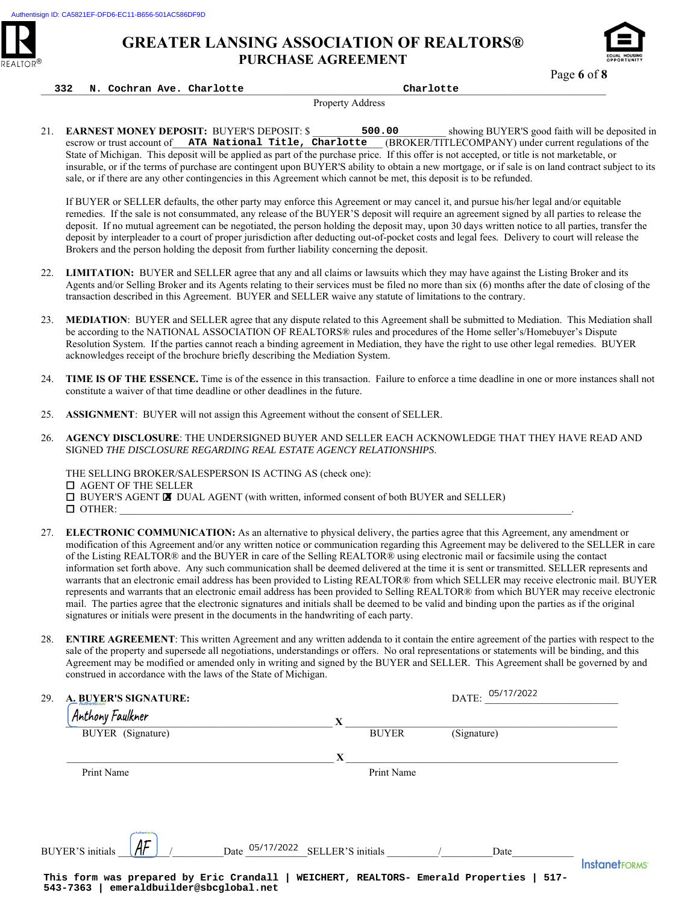



Page **6** of **8**

## \_\_\_\_\_\_\_\_\_\_\_\_\_\_\_\_\_\_\_\_\_\_\_\_\_\_\_\_\_\_\_\_\_\_\_\_\_\_\_\_\_\_\_\_\_\_\_\_\_\_\_\_\_\_\_\_\_\_\_\_\_\_\_\_\_\_\_\_\_\_\_\_\_\_\_\_\_\_\_\_\_\_\_\_\_\_\_\_\_\_\_\_\_\_\_\_\_\_\_\_\_\_\_\_\_\_\_\_\_\_ **332 N. Cochran Ave. Charlotte Charlotte**

Property Address

21. **EARNEST MONEY DEPOSIT:** BUYER'S DEPOSIT: \$ 500.00 showing BUYER'S good faith will be deposited in escrow or trust account of ATA National Title, Charlotte (BROKER/TITLECOMPANY) under current regulations of the State of Michigan. This deposit will be applied as part of the purchase price. If this offer is not accepted, or title is not marketable, or insurable, or if the terms of purchase are contingent upon BUYER'S ability to obtain a new mortgage, or if sale is on land contract subject to its sale, or if there are any other contingencies in this Agreement which cannot be met, this deposit is to be refunded. **500.00**

- 22. **LIMITATION:** BUYER and SELLER agree that any and all claims or lawsuits which they may have against the Listing Broker and its Agents and/or Selling Broker and its Agents relating to their services must be filed no more than six (6) months after the date of closing of the transaction described in this Agreement. BUYER and SELLER waive any statute of limitations to the contrary.
- 23. **MEDIATION**: BUYER and SELLER agree that any dispute related to this Agreement shall be submitted to Mediation. This Mediation shall be according to the NATIONAL ASSOCIATION OF REALTORS® rules and procedures of the Home seller's/Homebuyer's Dispute Resolution System. If the parties cannot reach a binding agreement in Mediation, they have the right to use other legal remedies. BUYER acknowledges receipt of the brochure briefly describing the Mediation System.
- 24. **TIME IS OF THE ESSENCE.** Time is of the essence in this transaction. Failure to enforce a time deadline in one or more instances shall not constitute a waiver of that time deadline or other deadlines in the future.
- 25. **ASSIGNMENT**: BUYER will not assign this Agreement without the consent of SELLER.
- 26. **AGENCY DISCLOSURE**: THE UNDERSIGNED BUYER AND SELLER EACH ACKNOWLEDGE THAT THEY HAVE READ AND SIGNED *THE DISCLOSURE REGARDING REAL ESTATE AGENCY RELATIONSHIPS*.

- OTHER: \_\_\_\_\_\_\_\_\_\_\_\_\_\_\_\_\_\_\_\_\_\_\_\_\_\_\_\_\_\_\_\_\_\_\_\_\_\_\_\_\_\_\_\_\_\_\_\_\_\_\_\_\_\_\_\_\_\_\_\_\_\_\_\_\_\_\_\_\_\_\_\_\_\_\_\_\_\_\_\_\_\_\_\_\_\_\_\_. 27. **ELECTRONIC COMMUNICATION:** As an alternative to physical delivery, the parties agree that this Agreement, any amendment or modification of this Agreement and/or any written notice or communication regarding this Agreement may be delivered to the SELLER in care of the Listing REALTOR® and the BUYER in care of the Selling REALTOR® using electronic mail or facsimile using the contact information set forth above. Any such communication shall be deemed delivered at the time it is sent or transmitted. SELLER represents and
	- warrants that an electronic email address has been provided to Listing REALTOR® from which SELLER may receive electronic mail. BUYER represents and warrants that an electronic email address has been provided to Selling REALTOR® from which BUYER may receive electronic mail. The parties agree that the electronic signatures and initials shall be deemed to be valid and binding upon the parties as if the original signatures or initials were present in the documents in the handwriting of each party.
	- 28. **ENTIRE AGREEMENT**: This written Agreement and any written addenda to it contain the entire agreement of the parties with respect to the sale of the property and supersede all negotiations, understandings or offers. No oral representations or statements will be binding, and this Agreement may be modified or amended only in writing and signed by the BUYER and SELLER. This Agreement shall be governed by and construed in accordance with the laws of the State of Michigan.

|     | escrow or trust account of ATA National Title, Charlotte (BROKER/TITLECOMPANY) under current regulations of the                                                                                                                                                                                                                                                                                                                                                                                                                                                                                                                                                                                                                                                                                                                                                                                                                                                                                                                                                                     |                                     |   |              |                            |                      |
|-----|-------------------------------------------------------------------------------------------------------------------------------------------------------------------------------------------------------------------------------------------------------------------------------------------------------------------------------------------------------------------------------------------------------------------------------------------------------------------------------------------------------------------------------------------------------------------------------------------------------------------------------------------------------------------------------------------------------------------------------------------------------------------------------------------------------------------------------------------------------------------------------------------------------------------------------------------------------------------------------------------------------------------------------------------------------------------------------------|-------------------------------------|---|--------------|----------------------------|----------------------|
|     | State of Michigan. This deposit will be applied as part of the purchase price. If this offer is not accepted, or title is not marketable, or                                                                                                                                                                                                                                                                                                                                                                                                                                                                                                                                                                                                                                                                                                                                                                                                                                                                                                                                        |                                     |   |              |                            |                      |
|     | insurable, or if the terms of purchase are contingent upon BUYER'S ability to obtain a new mortgage, or if sale is on land contract subject to<br>sale, or if there are any other contingencies in this Agreement which cannot be met, this deposit is to be refunded.                                                                                                                                                                                                                                                                                                                                                                                                                                                                                                                                                                                                                                                                                                                                                                                                              |                                     |   |              |                            |                      |
|     | If BUYER or SELLER defaults, the other party may enforce this Agreement or may cancel it, and pursue his/her legal and/or equitable<br>remedies. If the sale is not consummated, any release of the BUYER'S deposit will require an agreement signed by all parties to release the<br>deposit. If no mutual agreement can be negotiated, the person holding the deposit may, upon 30 days written notice to all parties, transfer the<br>deposit by interpleader to a court of proper jurisdiction after deducting out-of-pocket costs and legal fees. Delivery to court will release the<br>Brokers and the person holding the deposit from further liability concerning the deposit.                                                                                                                                                                                                                                                                                                                                                                                              |                                     |   |              |                            |                      |
| 22. | LIMITATION: BUYER and SELLER agree that any and all claims or lawsuits which they may have against the Listing Broker and its<br>Agents and/or Selling Broker and its Agents relating to their services must be filed no more than six (6) months after the date of closing of the<br>transaction described in this Agreement. BUYER and SELLER waive any statute of limitations to the contrary.                                                                                                                                                                                                                                                                                                                                                                                                                                                                                                                                                                                                                                                                                   |                                     |   |              |                            |                      |
| 23. | MEDIATION: BUYER and SELLER agree that any dispute related to this Agreement shall be submitted to Mediation. This Mediation sha<br>be according to the NATIONAL ASSOCIATION OF REALTORS® rules and procedures of the Home seller's/Homebuyer's Dispute<br>Resolution System. If the parties cannot reach a binding agreement in Mediation, they have the right to use other legal remedies. BUYER<br>acknowledges receipt of the brochure briefly describing the Mediation System.                                                                                                                                                                                                                                                                                                                                                                                                                                                                                                                                                                                                 |                                     |   |              |                            |                      |
| 24. | TIME IS OF THE ESSENCE. Time is of the essence in this transaction. Failure to enforce a time deadline in one or more instances shall n<br>constitute a waiver of that time deadline or other deadlines in the future.                                                                                                                                                                                                                                                                                                                                                                                                                                                                                                                                                                                                                                                                                                                                                                                                                                                              |                                     |   |              |                            |                      |
| 25. | <b>ASSIGNMENT:</b> BUYER will not assign this Agreement without the consent of SELLER.                                                                                                                                                                                                                                                                                                                                                                                                                                                                                                                                                                                                                                                                                                                                                                                                                                                                                                                                                                                              |                                     |   |              |                            |                      |
| 26. | AGENCY DISCLOSURE: THE UNDERSIGNED BUYER AND SELLER EACH ACKNOWLEDGE THAT THEY HAVE READ AND<br>SIGNED THE DISCLOSURE REGARDING REAL ESTATE AGENCY RELATIONSHIPS.                                                                                                                                                                                                                                                                                                                                                                                                                                                                                                                                                                                                                                                                                                                                                                                                                                                                                                                   |                                     |   |              |                            |                      |
|     | THE SELLING BROKER/SALESPERSON IS ACTING AS (check one):<br>$\Box$ AGENT OF THE SELLER<br><b>ID</b> BUYER'S AGENT <b>EX</b> DUAL AGENT (with written, informed consent of both BUYER and SELLER)                                                                                                                                                                                                                                                                                                                                                                                                                                                                                                                                                                                                                                                                                                                                                                                                                                                                                    |                                     |   |              |                            |                      |
| 27. | <b>ELECTRONIC COMMUNICATION:</b> As an alternative to physical delivery, the parties agree that this Agreement, any amendment or<br>modification of this Agreement and/or any written notice or communication regarding this Agreement may be delivered to the SELLER in ca<br>of the Listing REALTOR® and the BUYER in care of the Selling REALTOR® using electronic mail or facsimile using the contact<br>information set forth above. Any such communication shall be deemed delivered at the time it is sent or transmitted. SELLER represents and<br>warrants that an electronic email address has been provided to Listing REALTOR® from which SELLER may receive electronic mail. BUYI<br>represents and warrants that an electronic email address has been provided to Selling REALTOR® from which BUYER may receive electron<br>mail. The parties agree that the electronic signatures and initials shall be deemed to be valid and binding upon the parties as if the original<br>signatures or initials were present in the documents in the handwriting of each party. |                                     |   |              |                            |                      |
|     | 28. ENTIRE AGREEMENT: This written Agreement and any written addenda to it contain the entire agreement of the parties with respect to tl<br>sale of the property and supersede all negotiations, understandings or offers. No oral representations or statements will be binding, and this<br>Agreement may be modified or amended only in writing and signed by the BUYER and SELLER. This Agreement shall be governed by and<br>construed in accordance with the laws of the State of Michigan.                                                                                                                                                                                                                                                                                                                                                                                                                                                                                                                                                                                  |                                     |   |              |                            |                      |
| 29. | <b>A. BUYER'S SIGNATURE:</b>                                                                                                                                                                                                                                                                                                                                                                                                                                                                                                                                                                                                                                                                                                                                                                                                                                                                                                                                                                                                                                                        |                                     |   |              | DATE: 05/17/2022           |                      |
|     | Anthony Faulkner                                                                                                                                                                                                                                                                                                                                                                                                                                                                                                                                                                                                                                                                                                                                                                                                                                                                                                                                                                                                                                                                    |                                     | X |              |                            |                      |
|     | <b>BUYER</b> (Signature)                                                                                                                                                                                                                                                                                                                                                                                                                                                                                                                                                                                                                                                                                                                                                                                                                                                                                                                                                                                                                                                            |                                     |   | <b>BUYER</b> | $\frac{1}{\text{(Sigma)}}$ |                      |
|     |                                                                                                                                                                                                                                                                                                                                                                                                                                                                                                                                                                                                                                                                                                                                                                                                                                                                                                                                                                                                                                                                                     |                                     | X |              |                            |                      |
|     | Print Name                                                                                                                                                                                                                                                                                                                                                                                                                                                                                                                                                                                                                                                                                                                                                                                                                                                                                                                                                                                                                                                                          |                                     |   | Print Name   |                            |                      |
|     |                                                                                                                                                                                                                                                                                                                                                                                                                                                                                                                                                                                                                                                                                                                                                                                                                                                                                                                                                                                                                                                                                     |                                     |   |              |                            |                      |
|     | <b>BUYER'S</b> initials                                                                                                                                                                                                                                                                                                                                                                                                                                                                                                                                                                                                                                                                                                                                                                                                                                                                                                                                                                                                                                                             | Date 05/17/2022 SELLER'S initials / |   |              | Date                       |                      |
|     | This form was prepared by Eric Crandall   WEICHERT, REALTORS- Emerald Properties   517-<br>543-7363<br>emeraldbuilder@sbcglobal.net                                                                                                                                                                                                                                                                                                                                                                                                                                                                                                                                                                                                                                                                                                                                                                                                                                                                                                                                                 |                                     |   |              |                            | <b>InstanetFORMS</b> |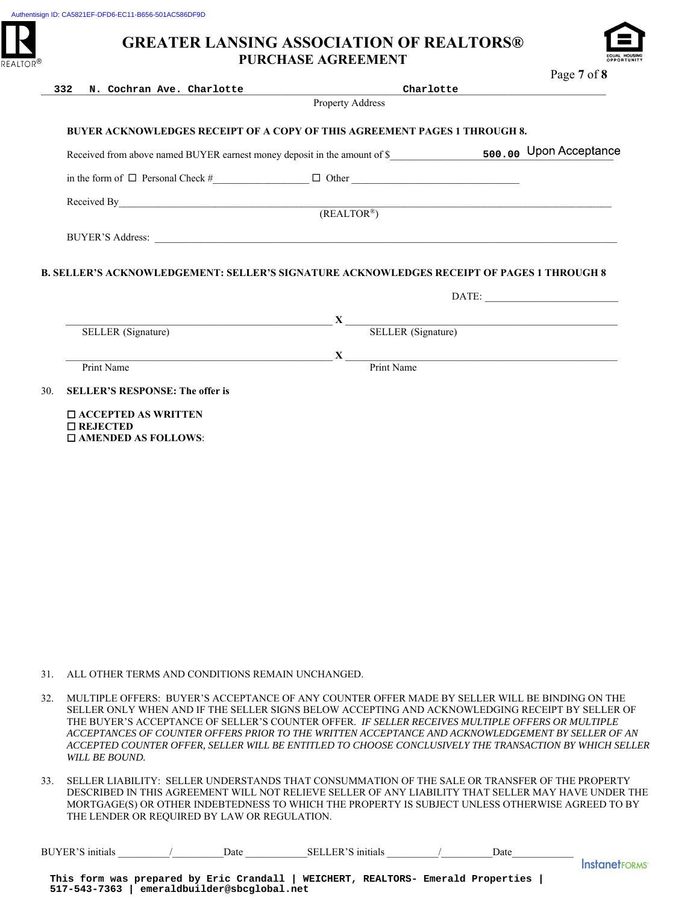

|     | 332                                                 | N. Cochran Ave. Charlotte |                                                                                                                                                                                                                                                                                                                                       | Charlotte | rage $\prime$ 01 $\sigma$                                                                                                                                                                                                                                                                                                                                                                                                                                                                                                    |
|-----|-----------------------------------------------------|---------------------------|---------------------------------------------------------------------------------------------------------------------------------------------------------------------------------------------------------------------------------------------------------------------------------------------------------------------------------------|-----------|------------------------------------------------------------------------------------------------------------------------------------------------------------------------------------------------------------------------------------------------------------------------------------------------------------------------------------------------------------------------------------------------------------------------------------------------------------------------------------------------------------------------------|
|     |                                                     |                           | Property Address                                                                                                                                                                                                                                                                                                                      |           |                                                                                                                                                                                                                                                                                                                                                                                                                                                                                                                              |
|     |                                                     |                           | BUYER ACKNOWLEDGES RECEIPT OF A COPY OF THIS AGREEMENT PAGES 1 THROUGH 8.                                                                                                                                                                                                                                                             |           |                                                                                                                                                                                                                                                                                                                                                                                                                                                                                                                              |
|     |                                                     |                           |                                                                                                                                                                                                                                                                                                                                       |           |                                                                                                                                                                                                                                                                                                                                                                                                                                                                                                                              |
|     |                                                     |                           |                                                                                                                                                                                                                                                                                                                                       |           |                                                                                                                                                                                                                                                                                                                                                                                                                                                                                                                              |
|     |                                                     |                           | Received By $(REALTOR^*)$                                                                                                                                                                                                                                                                                                             |           |                                                                                                                                                                                                                                                                                                                                                                                                                                                                                                                              |
|     |                                                     |                           |                                                                                                                                                                                                                                                                                                                                       |           |                                                                                                                                                                                                                                                                                                                                                                                                                                                                                                                              |
|     |                                                     |                           |                                                                                                                                                                                                                                                                                                                                       |           |                                                                                                                                                                                                                                                                                                                                                                                                                                                                                                                              |
|     |                                                     |                           | B. SELLER'S ACKNOWLEDGEMENT: SELLER'S SIGNATURE ACKNOWLEDGES RECEIPT OF PAGES 1 THROUGH 8                                                                                                                                                                                                                                             |           |                                                                                                                                                                                                                                                                                                                                                                                                                                                                                                                              |
|     |                                                     |                           |                                                                                                                                                                                                                                                                                                                                       |           | $\text{DATE:}\underbrace{\qquad \qquad }_{\qquad \qquad \qquad \qquad }\qquad \qquad \qquad ~~\qquad \qquad ~~\qquad \qquad ~~\qquad \qquad ~~\qquad \qquad ~~\qquad \qquad ~~\qquad \qquad ~~\qquad \qquad ~~\qquad \qquad ~~\qquad \qquad ~~\qquad \qquad ~~\qquad \qquad ~~\qquad \qquad ~~\qquad \qquad ~~\qquad \qquad ~~\qquad \qquad ~~\qquad \qquad ~~\qquad \qquad ~~\qquad \qquad ~~\qquad \qquad ~~\qquad \qquad ~~\qquad \qquad ~~\qquad \qquad ~~\qquad \qquad ~~\qquad \qquad ~~\qquad \qquad ~~\qquad \qquad$ |
|     |                                                     |                           |                                                                                                                                                                                                                                                                                                                                       |           |                                                                                                                                                                                                                                                                                                                                                                                                                                                                                                                              |
|     | SELLER (Signature)                                  |                           | $X$ <sub>——</sub>                                                                                                                                                                                                                                                                                                                     |           | SELLER (Signature)                                                                                                                                                                                                                                                                                                                                                                                                                                                                                                           |
|     |                                                     |                           | $\mathbf{X}$ $\overline{\mathbf{P}$ $\mathbf{P}$ $\mathbf{P}$ $\mathbf{P}$ $\mathbf{P}$ $\mathbf{P}$ $\mathbf{P}$ $\mathbf{P}$ $\mathbf{P}$ $\mathbf{P}$ $\mathbf{P}$ $\mathbf{P}$ $\mathbf{P}$ $\mathbf{P}$ $\mathbf{P}$ $\mathbf{P}$ $\mathbf{P}$ $\mathbf{P}$ $\mathbf{P}$ $\mathbf{P}$ $\mathbf{P}$ $\mathbf{P}$ $\mathbf{P}$ $\$ |           |                                                                                                                                                                                                                                                                                                                                                                                                                                                                                                                              |
|     | Print Name                                          |                           |                                                                                                                                                                                                                                                                                                                                       |           |                                                                                                                                                                                                                                                                                                                                                                                                                                                                                                                              |
| 30. | <b>SELLER'S RESPONSE: The offer is</b>              |                           |                                                                                                                                                                                                                                                                                                                                       |           |                                                                                                                                                                                                                                                                                                                                                                                                                                                                                                                              |
|     | $\square$ ACCEPTED AS WRITTEN<br>$\square$ REJECTED |                           |                                                                                                                                                                                                                                                                                                                                       |           |                                                                                                                                                                                                                                                                                                                                                                                                                                                                                                                              |
|     | $\square$ AMENDED AS FOLLOWS:                       |                           |                                                                                                                                                                                                                                                                                                                                       |           |                                                                                                                                                                                                                                                                                                                                                                                                                                                                                                                              |
|     |                                                     |                           |                                                                                                                                                                                                                                                                                                                                       |           |                                                                                                                                                                                                                                                                                                                                                                                                                                                                                                                              |
|     |                                                     |                           |                                                                                                                                                                                                                                                                                                                                       |           |                                                                                                                                                                                                                                                                                                                                                                                                                                                                                                                              |
|     |                                                     |                           |                                                                                                                                                                                                                                                                                                                                       |           |                                                                                                                                                                                                                                                                                                                                                                                                                                                                                                                              |
|     |                                                     |                           |                                                                                                                                                                                                                                                                                                                                       |           |                                                                                                                                                                                                                                                                                                                                                                                                                                                                                                                              |
|     |                                                     |                           |                                                                                                                                                                                                                                                                                                                                       |           |                                                                                                                                                                                                                                                                                                                                                                                                                                                                                                                              |
|     |                                                     |                           |                                                                                                                                                                                                                                                                                                                                       |           |                                                                                                                                                                                                                                                                                                                                                                                                                                                                                                                              |
|     |                                                     |                           |                                                                                                                                                                                                                                                                                                                                       |           |                                                                                                                                                                                                                                                                                                                                                                                                                                                                                                                              |
|     |                                                     |                           |                                                                                                                                                                                                                                                                                                                                       |           |                                                                                                                                                                                                                                                                                                                                                                                                                                                                                                                              |
|     |                                                     |                           |                                                                                                                                                                                                                                                                                                                                       |           |                                                                                                                                                                                                                                                                                                                                                                                                                                                                                                                              |
|     |                                                     |                           |                                                                                                                                                                                                                                                                                                                                       |           |                                                                                                                                                                                                                                                                                                                                                                                                                                                                                                                              |
|     |                                                     |                           |                                                                                                                                                                                                                                                                                                                                       |           |                                                                                                                                                                                                                                                                                                                                                                                                                                                                                                                              |
|     |                                                     |                           |                                                                                                                                                                                                                                                                                                                                       |           |                                                                                                                                                                                                                                                                                                                                                                                                                                                                                                                              |
|     |                                                     |                           |                                                                                                                                                                                                                                                                                                                                       |           |                                                                                                                                                                                                                                                                                                                                                                                                                                                                                                                              |
| 31. |                                                     |                           | ALL OTHER TERMS AND CONDITIONS REMAIN UNCHANGED.                                                                                                                                                                                                                                                                                      |           |                                                                                                                                                                                                                                                                                                                                                                                                                                                                                                                              |
| 32. |                                                     |                           | MULTIPLE OFFERS: BUYER'S ACCEPTANCE OF ANY COUNTER OFFER MADE BY SELLER WILL BE BINDING ON THE                                                                                                                                                                                                                                        |           |                                                                                                                                                                                                                                                                                                                                                                                                                                                                                                                              |
|     |                                                     |                           | SELLER ONLY WHEN AND IF THE SELLER SIGNS BELOW ACCEPTING AND ACKNOWLEDGING RECEIPT BY SELLER (<br>THE BUYER'S ACCEPTANCE OF SELLER'S COUNTER OFFER. IF SELLER RECEIVES MULTIPLE OFFERS OR MULTIPLE                                                                                                                                    |           |                                                                                                                                                                                                                                                                                                                                                                                                                                                                                                                              |
|     |                                                     |                           | ACCEPTANCES OF COUNTER OFFERS PRIOR TO THE WRITTEN ACCEPTANCE AND ACKNOWLEDGEMENT BY SELLER OF .                                                                                                                                                                                                                                      |           |                                                                                                                                                                                                                                                                                                                                                                                                                                                                                                                              |
|     | WILL BE BOUND.                                      |                           | ACCEPTED COUNTER OFFER, SELLER WILL BE ENTITLED TO CHOOSE CONCLUSIVELY THE TRANSACTION BY WHICH SE                                                                                                                                                                                                                                    |           |                                                                                                                                                                                                                                                                                                                                                                                                                                                                                                                              |
| 33. |                                                     |                           | SELLER LIABILITY: SELLER UNDERSTANDS THAT CONSUMMATION OF THE SALE OR TRANSFER OF THE PROPERTY                                                                                                                                                                                                                                        |           |                                                                                                                                                                                                                                                                                                                                                                                                                                                                                                                              |
|     |                                                     |                           | DESCRIBED IN THIS AGREEMENT WILL NOT RELIEVE SELLER OF ANY LIABILITY THAT SELLER MAY HAVE UNDER                                                                                                                                                                                                                                       |           |                                                                                                                                                                                                                                                                                                                                                                                                                                                                                                                              |
|     | THE LENDER OR REQUIRED BY LAW OR REGULATION.        |                           | MORTGAGE(S) OR OTHER INDEBTEDNESS TO WHICH THE PROPERTY IS SUBJECT UNLESS OTHERWISE AGREED TO                                                                                                                                                                                                                                         |           |                                                                                                                                                                                                                                                                                                                                                                                                                                                                                                                              |
|     |                                                     |                           |                                                                                                                                                                                                                                                                                                                                       |           |                                                                                                                                                                                                                                                                                                                                                                                                                                                                                                                              |
|     |                                                     |                           | BUYER'S initials 1 Date SELLER'S initials 1 Date                                                                                                                                                                                                                                                                                      |           |                                                                                                                                                                                                                                                                                                                                                                                                                                                                                                                              |
|     |                                                     |                           |                                                                                                                                                                                                                                                                                                                                       |           | <b>InstanetF</b>                                                                                                                                                                                                                                                                                                                                                                                                                                                                                                             |
|     | 517-543-7363 emeraldbuilder@sbcglobal.net           |                           | This form was prepared by Eric Crandall   WEICHERT, REALTORS- Emerald Properties                                                                                                                                                                                                                                                      |           |                                                                                                                                                                                                                                                                                                                                                                                                                                                                                                                              |

- 31. ALL OTHER TERMS AND CONDITIONS REMAIN UNCHANGED.
- 32. MULTIPLE OFFERS: BUYER'S ACCEPTANCE OF ANY COUNTER OFFER MADE BY SELLER WILL BE BINDING ON THE SELLER ONLY WHEN AND IF THE SELLER SIGNS BELOW ACCEPTING AND ACKNOWLEDGING RECEIPT BY SELLER OF THE BUYER'S ACCEPTANCE OF SELLER'S COUNTER OFFER. *IF SELLER RECEIVES MULTIPLE OFFERS OR MULTIPLE ACCEPTANCES OF COUNTER OFFERS PRIOR TO THE WRITTEN ACCEPTANCE AND ACKNOWLEDGEMENT BY SELLER OF AN ACCEPTED COUNTER OFFER, SELLER WILL BE ENTITLED TO CHOOSE CONCLUSIVELY THE TRANSACTION BY WHICH SELLER WILL BE BOUND.*
- 33. SELLER LIABILITY: SELLER UNDERSTANDS THAT CONSUMMATION OF THE SALE OR TRANSFER OF THE PROPERTY DESCRIBED IN THIS AGREEMENT WILL NOT RELIEVE SELLER OF ANY LIABILITY THAT SELLER MAY HAVE UNDER THE MORTGAGE(S) OR OTHER INDEBTEDNESS TO WHICH THE PROPERTY IS SUBJECT UNLESS OTHERWISE AGREED TO BY THE LENDER OR REQUIRED BY LAW OR REGULATION.

| BUY.<br>Œ. | Jate | SEI<br>nıtıals<br>$\sim$ |  | Jate |  |
|------------|------|--------------------------|--|------|--|
|            |      |                          |  |      |  |